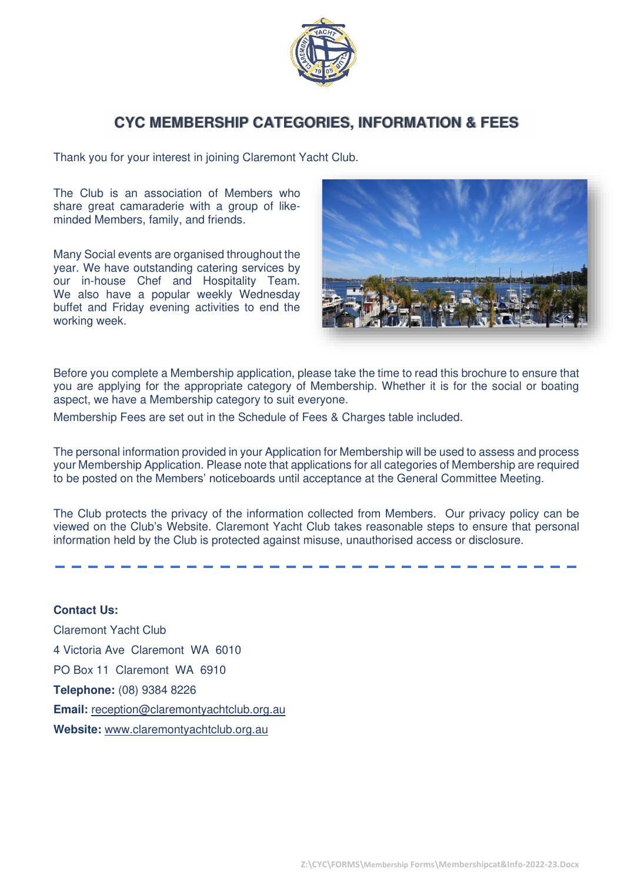

## **CYC MEMBERSHIP CATEGORIES, INFORMATION & FEES**

Thank you for your interest in joining Claremont Yacht Club.

The Club is an association of Members who share great camaraderie with a group of likeminded Members, family, and friends.

Many Social events are organised throughout the year. We have outstanding catering services by our in-house Chef and Hospitality Team. We also have a popular weekly Wednesday buffet and Friday evening activities to end the working week.



Before you complete a Membership application, please take the time to read this brochure to ensure that you are applying for the appropriate category of Membership. Whether it is for the social or boating aspect, we have a Membership category to suit everyone.

Membership Fees are set out in the Schedule of Fees & Charges table included.

The personal information provided in your Application for Membership will be used to assess and process your Membership Application. Please note that applications for all categories of Membership are required to be posted on the Members' noticeboards until acceptance at the General Committee Meeting.

The Club protects the privacy of the information collected from Members. Our privacy policy can be viewed on the Club's Website. Claremont Yacht Club takes reasonable steps to ensure that personal information held by the Club is protected against misuse, unauthorised access or disclosure.

**Contact Us:** Claremont Yacht Club 4 Victoria Ave Claremont WA 6010 PO Box 11 Claremont WA 6910 **Telephone:** (08) 9384 8226 **Email:** [reception@claremontyachtclub.org.au](mailto:reception@claremontyachtclub.org.au)  **Website:** [www.claremontyachtclub.org.au](http://www.claremontyachtclub.org.au/)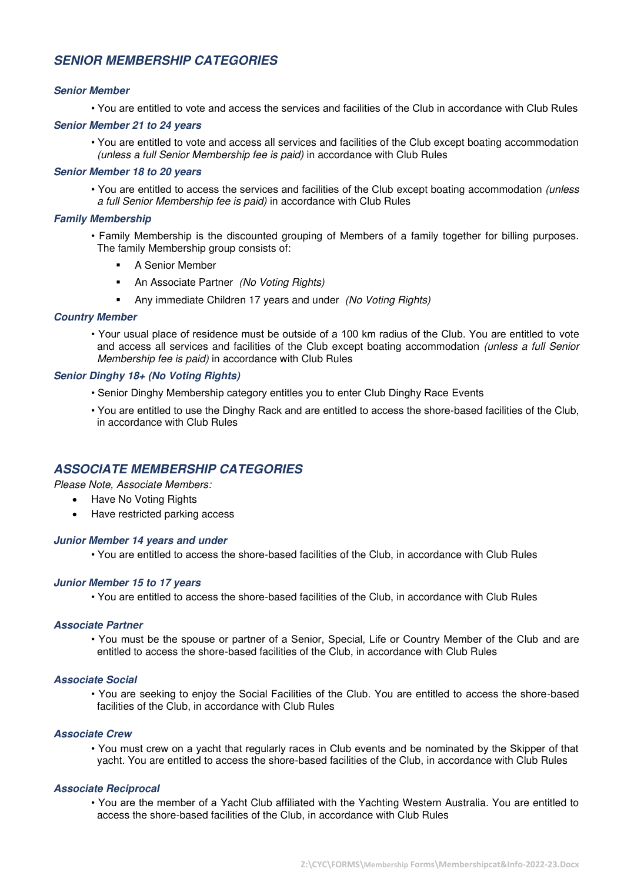## **SENIOR MEMBERSHIP CATEGORIES**

#### **Senior Member**

• You are entitled to vote and access the services and facilities of the Club in accordance with Club Rules

#### **Senior Member 21 to 24 years**

• You are entitled to vote and access all services and facilities of the Club except boating accommodation (unless a full Senior Membership fee is paid) in accordance with Club Rules

#### **Senior Member 18 to 20 years**

• You are entitled to access the services and facilities of the Club except boating accommodation (unless a full Senior Membership fee is paid) in accordance with Club Rules

#### **Family Membership**

- Family Membership is the discounted grouping of Members of a family together for billing purposes. The family Membership group consists of:
	- A Senior Member
	- **■** An Associate Partner (No Voting Rights)
	- **■** Any immediate Children 17 years and under (No Voting Rights)

#### **Country Member**

• Your usual place of residence must be outside of a 100 km radius of the Club. You are entitled to vote and access all services and facilities of the Club except boating accommodation (unless a full Senior Membership fee is paid) in accordance with Club Rules

#### **Senior Dinghy 18+ (No Voting Rights)**

- Senior Dinghy Membership category entitles you to enter Club Dinghy Race Events
- You are entitled to use the Dinghy Rack and are entitled to access the shore-based facilities of the Club, in accordance with Club Rules

## **ASSOCIATE MEMBERSHIP CATEGORIES**

Please Note, Associate Members:

- Have No Voting Rights
- Have restricted parking access

#### **Junior Member 14 years and under**

• You are entitled to access the shore-based facilities of the Club, in accordance with Club Rules

#### **Junior Member 15 to 17 years**

• You are entitled to access the shore-based facilities of the Club, in accordance with Club Rules

#### **Associate Partner**

• You must be the spouse or partner of a Senior, Special, Life or Country Member of the Club and are entitled to access the shore-based facilities of the Club, in accordance with Club Rules

#### **Associate Social**

• You are seeking to enjoy the Social Facilities of the Club. You are entitled to access the shore-based facilities of the Club, in accordance with Club Rules

#### **Associate Crew**

• You must crew on a yacht that regularly races in Club events and be nominated by the Skipper of that yacht. You are entitled to access the shore-based facilities of the Club, in accordance with Club Rules

#### **Associate Reciprocal**

• You are the member of a Yacht Club affiliated with the Yachting Western Australia. You are entitled to access the shore-based facilities of the Club, in accordance with Club Rules